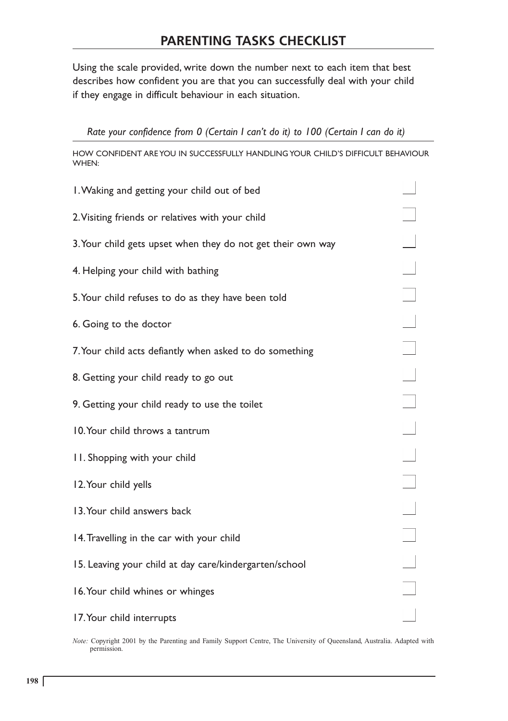## **PARENTING TASKS CHECKLIST**

Using the scale provided, write down the number next to each item that best describes how confident you are that you can successfully deal with your child if they engage in difficult behaviour in each situation.

*Rate your confidence from 0 (Certain I can't do it) to 100 (Certain I can do it)*

HOW CONFIDENT ARE YOU IN SUCCESSFULLY HANDLING YOUR CHILD'S DIFFICULT BEHAVIOUR WHEN:

| I. Waking and getting your child out of bed                 |   |
|-------------------------------------------------------------|---|
| 2. Visiting friends or relatives with your child            |   |
| 3. Your child gets upset when they do not get their own way |   |
| 4. Helping your child with bathing                          |   |
| 5. Your child refuses to do as they have been told          |   |
| 6. Going to the doctor                                      |   |
| 7. Your child acts defiantly when asked to do something     |   |
| 8. Getting your child ready to go out                       |   |
| 9. Getting your child ready to use the toilet               |   |
| 10. Your child throws a tantrum                             |   |
| 11. Shopping with your child                                | Ξ |
| 12. Your child yells                                        |   |
| 13. Your child answers back                                 |   |
| 14. Travelling in the car with your child                   |   |
| 15. Leaving your child at day care/kindergarten/school      |   |
| 16. Your child whines or whinges                            |   |
| 17. Your child interrupts                                   |   |

*Note:* Copyright 2001 by the Parenting and Family Support Centre, The University of Queensland, Australia. Adapted with permission.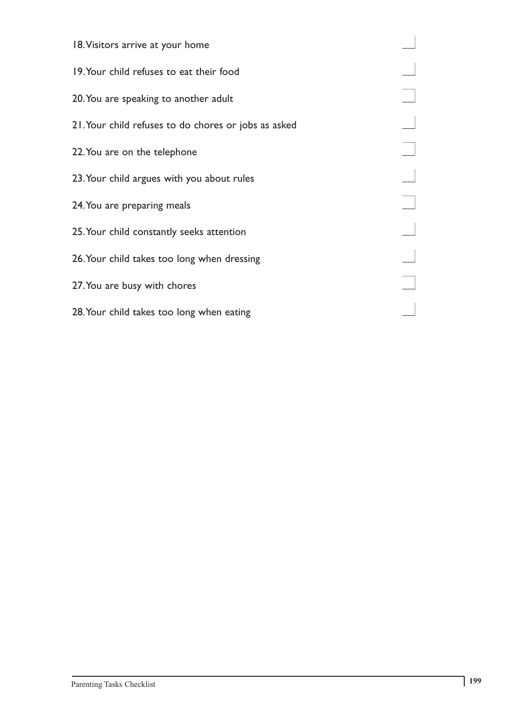| 18. Visitors arrive at your home                     |  |
|------------------------------------------------------|--|
| 19. Your child refuses to eat their food             |  |
| 20. You are speaking to another adult                |  |
| 21. Your child refuses to do chores or jobs as asked |  |
| 22. You are on the telephone                         |  |
| 23. Your child argues with you about rules           |  |
| 24. You are preparing meals                          |  |
| 25. Your child constantly seeks attention            |  |
| 26. Your child takes too long when dressing          |  |
| 27. You are busy with chores                         |  |
| 28. Your child takes too long when eating            |  |